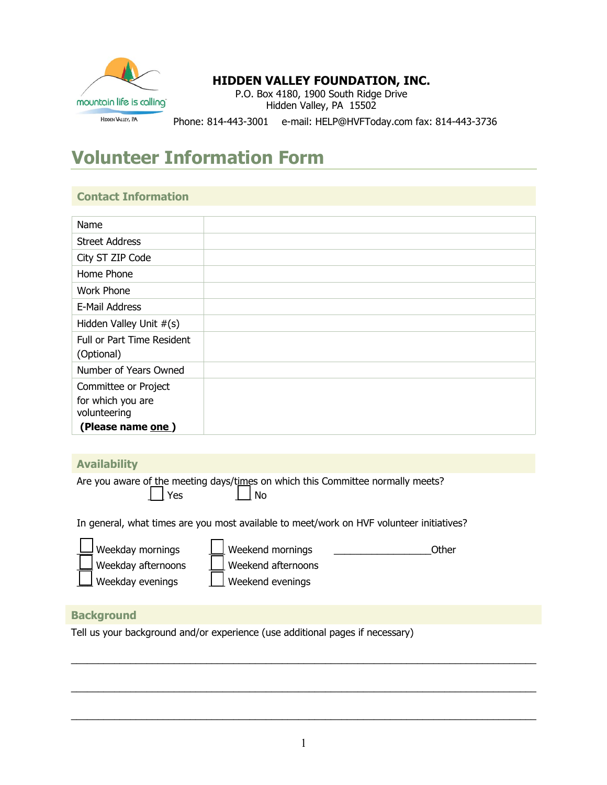

## **HIDDEN VALLEY FOUNDATION, INC.**

P.O. Box 4180, 1900 South Ridge Drive Hidden Valley, PA 15502

Phone: 814-443-3001 e-mail: HELP@HVFToday.com fax: 814-443-3736

# **Volunteer Information Form**

## **Contact Information**

| Name                       |  |
|----------------------------|--|
| <b>Street Address</b>      |  |
| City ST ZIP Code           |  |
| Home Phone                 |  |
| <b>Work Phone</b>          |  |
| E-Mail Address             |  |
| Hidden Valley Unit #(s)    |  |
| Full or Part Time Resident |  |
| (Optional)                 |  |
| Number of Years Owned      |  |
| Committee or Project       |  |
| for which you are          |  |
| volunteering               |  |
| (Please name one)          |  |

### **Availability**

Are you aware of the meeting days/times on which this Committee normally meets? | Yes | | No

In general, what times are you most available to meet/work on HVF volunteer initiatives?

| $\Box$ Weekday mornings | Weekend mornings   | Other |
|-------------------------|--------------------|-------|
| Weekday afternoons      | Weekend afternoons |       |
| Weekday evenings        | Weekend evenings   |       |

## **Background**

Tell us your background and/or experience (use additional pages if necessary)

 $\_$  . The contribution of the contribution of the contribution of the contribution of the contribution of the contribution of the contribution of the contribution of the contribution of the contribution of the contributio

 $\_$  , and the set of the set of the set of the set of the set of the set of the set of the set of the set of the set of the set of the set of the set of the set of the set of the set of the set of the set of the set of th

 $\_$  . The contribution of the contribution of the contribution of the contribution of the contribution of the contribution of the contribution of the contribution of the contribution of the contribution of the contributio